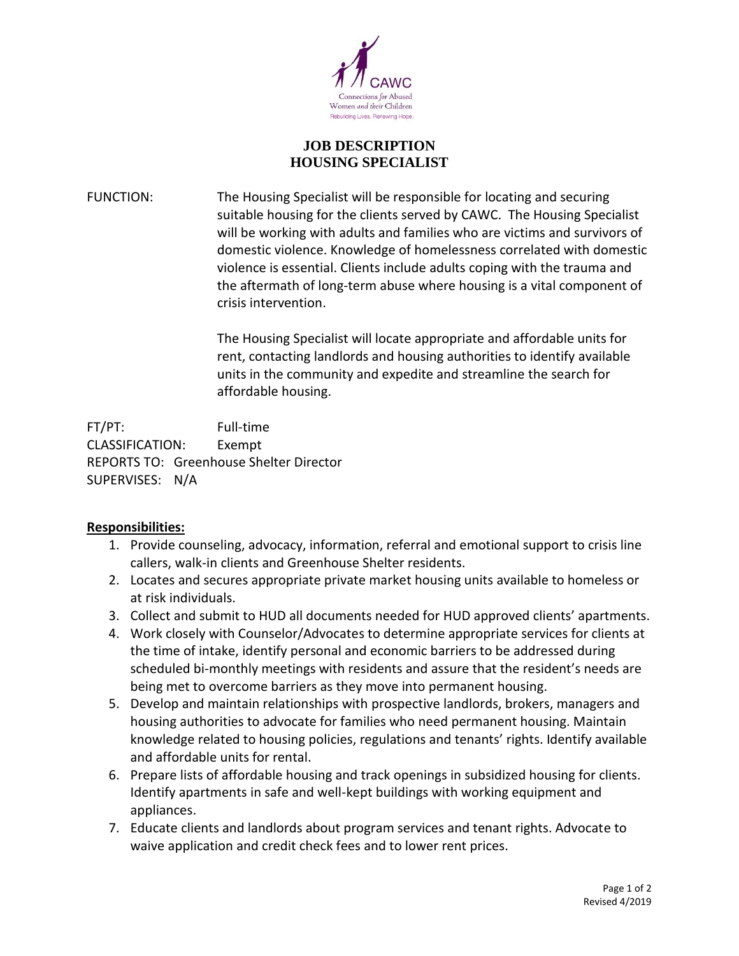

## **JOB DESCRIPTION HOUSING SPECIALIST**

FUNCTION: The Housing Specialist will be responsible for locating and securing suitable housing for the clients served by CAWC. The Housing Specialist will be working with adults and families who are victims and survivors of domestic violence. Knowledge of homelessness correlated with domestic violence is essential. Clients include adults coping with the trauma and the aftermath of long-term abuse where housing is a vital component of crisis intervention.

> The Housing Specialist will locate appropriate and affordable units for rent, contacting landlords and housing authorities to identify available units in the community and expedite and streamline the search for affordable housing.

FT/PT: Full-time CLASSIFICATION: Exempt REPORTS TO: Greenhouse Shelter Director SUPERVISES: N/A

## **Responsibilities:**

- 1. Provide counseling, advocacy, information, referral and emotional support to crisis line callers, walk-in clients and Greenhouse Shelter residents.
- 2. Locates and secures appropriate private market housing units available to homeless or at risk individuals.
- 3. Collect and submit to HUD all documents needed for HUD approved clients' apartments.
- 4. Work closely with Counselor/Advocates to determine appropriate services for clients at the time of intake, identify personal and economic barriers to be addressed during scheduled bi-monthly meetings with residents and assure that the resident's needs are being met to overcome barriers as they move into permanent housing.
- 5. Develop and maintain relationships with prospective landlords, brokers, managers and housing authorities to advocate for families who need permanent housing. Maintain knowledge related to housing policies, regulations and tenants' rights. Identify available and affordable units for rental.
- 6. Prepare lists of affordable housing and track openings in subsidized housing for clients. Identify apartments in safe and well-kept buildings with working equipment and appliances.
- 7. Educate clients and landlords about program services and tenant rights. Advocate to waive application and credit check fees and to lower rent prices.